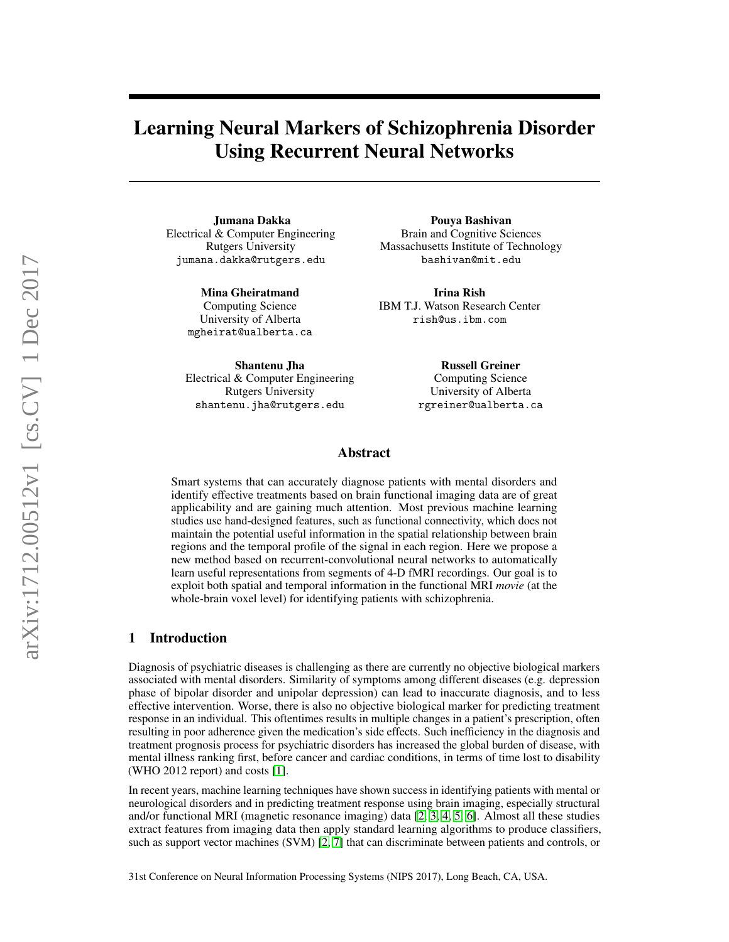# Learning Neural Markers of Schizophrenia Disorder Using Recurrent Neural Networks

Jumana Dakka Electrical & Computer Engineering Rutgers University jumana.dakka@rutgers.edu

> Mina Gheiratmand Computing Science University of Alberta mgheirat@ualberta.ca

Shantenu Jha Electrical & Computer Engineering Rutgers University shantenu.jha@rutgers.edu

Pouya Bashivan Brain and Cognitive Sciences Massachusetts Institute of Technology bashivan@mit.edu

Irina Rish IBM T.J. Watson Research Center rish@us.ibm.com

> Russell Greiner Computing Science University of Alberta rgreiner@ualberta.ca

# Abstract

Smart systems that can accurately diagnose patients with mental disorders and identify effective treatments based on brain functional imaging data are of great applicability and are gaining much attention. Most previous machine learning studies use hand-designed features, such as functional connectivity, which does not maintain the potential useful information in the spatial relationship between brain regions and the temporal profile of the signal in each region. Here we propose a new method based on recurrent-convolutional neural networks to automatically learn useful representations from segments of 4-D fMRI recordings. Our goal is to exploit both spatial and temporal information in the functional MRI *movie* (at the whole-brain voxel level) for identifying patients with schizophrenia.

## 1 Introduction

Diagnosis of psychiatric diseases is challenging as there are currently no objective biological markers associated with mental disorders. Similarity of symptoms among different diseases (e.g. depression phase of bipolar disorder and unipolar depression) can lead to inaccurate diagnosis, and to less effective intervention. Worse, there is also no objective biological marker for predicting treatment response in an individual. This oftentimes results in multiple changes in a patient's prescription, often resulting in poor adherence given the medication's side effects. Such inefficiency in the diagnosis and treatment prognosis process for psychiatric disorders has increased the global burden of disease, with mental illness ranking first, before cancer and cardiac conditions, in terms of time lost to disability (WHO 2012 report) and costs [\[1\]](#page-4-0).

In recent years, machine learning techniques have shown success in identifying patients with mental or neurological disorders and in predicting treatment response using brain imaging, especially structural and/or functional MRI (magnetic resonance imaging) data [\[2,](#page-4-1) [3,](#page-4-2) [4,](#page-4-3) [5,](#page-4-4) [6\]](#page-4-5). Almost all these studies extract features from imaging data then apply standard learning algorithms to produce classifiers, such as support vector machines (SVM) [\[2,](#page-4-1) [7\]](#page-4-6) that can discriminate between patients and controls, or

31st Conference on Neural Information Processing Systems (NIPS 2017), Long Beach, CA, USA.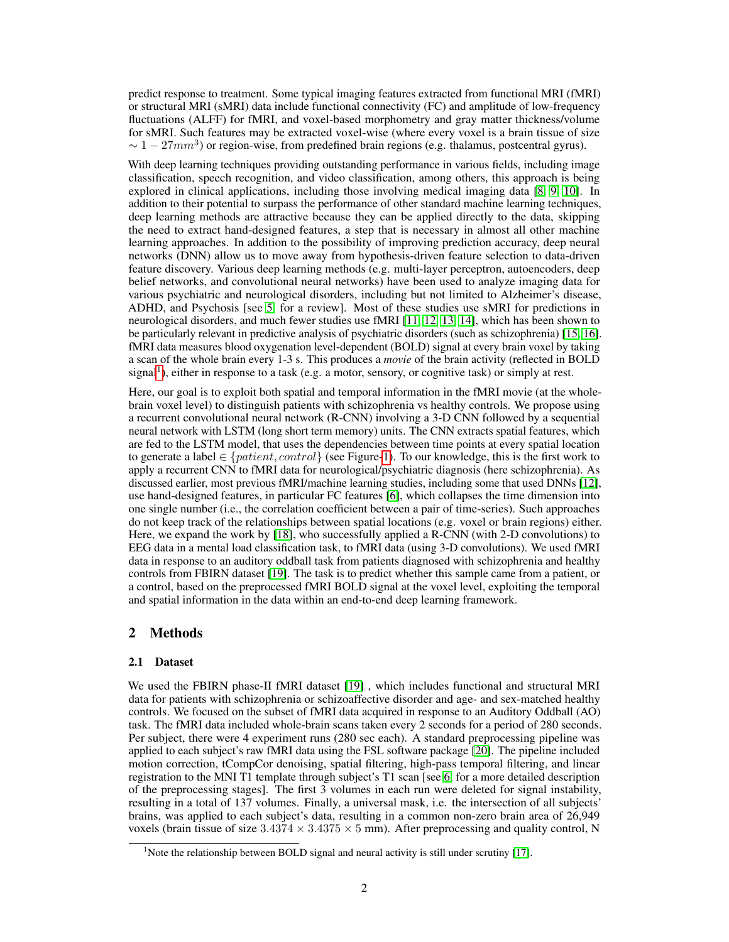predict response to treatment. Some typical imaging features extracted from functional MRI (fMRI) or structural MRI (sMRI) data include functional connectivity (FC) and amplitude of low-frequency fluctuations (ALFF) for fMRI, and voxel-based morphometry and gray matter thickness/volume for sMRI. Such features may be extracted voxel-wise (where every voxel is a brain tissue of size  $\sim 1-27mm^3$ ) or region-wise, from predefined brain regions (e.g. thalamus, postcentral gyrus).

With deep learning techniques providing outstanding performance in various fields, including image classification, speech recognition, and video classification, among others, this approach is being explored in clinical applications, including those involving medical imaging data [\[8,](#page-4-7) [9,](#page-4-8) [10\]](#page-4-9). In addition to their potential to surpass the performance of other standard machine learning techniques, deep learning methods are attractive because they can be applied directly to the data, skipping the need to extract hand-designed features, a step that is necessary in almost all other machine learning approaches. In addition to the possibility of improving prediction accuracy, deep neural networks (DNN) allow us to move away from hypothesis-driven feature selection to data-driven feature discovery. Various deep learning methods (e.g. multi-layer perceptron, autoencoders, deep belief networks, and convolutional neural networks) have been used to analyze imaging data for various psychiatric and neurological disorders, including but not limited to Alzheimer's disease, ADHD, and Psychosis [see [5,](#page-4-4) for a review]. Most of these studies use sMRI for predictions in neurological disorders, and much fewer studies use fMRI [\[11,](#page-4-10) [12,](#page-5-0) [13,](#page-5-1) [14\]](#page-5-2), which has been shown to be particularly relevant in predictive analysis of psychiatric disorders (such as schizophrenia) [\[15,](#page-5-3) [16\]](#page-5-4). fMRI data measures blood oxygenation level-dependent (BOLD) signal at every brain voxel by taking a scan of the whole brain every 1-3 s. This produces a *movie* of the brain activity (reflected in BOLD signal<sup>[1](#page-1-0)</sup>), either in response to a task (e.g. a motor, sensory, or cognitive task) or simply at rest.

Here, our goal is to exploit both spatial and temporal information in the fMRI movie (at the wholebrain voxel level) to distinguish patients with schizophrenia vs healthy controls. We propose using a recurrent convolutional neural network (R-CNN) involving a 3-D CNN followed by a sequential neural network with LSTM (long short term memory) units. The CNN extracts spatial features, which are fed to the LSTM model, that uses the dependencies between time points at every spatial location to generate a label  $\in \{patient, control\}$  (see Figure[-1\)](#page-3-0). To our knowledge, this is the first work to apply a recurrent CNN to fMRI data for neurological/psychiatric diagnosis (here schizophrenia). As discussed earlier, most previous fMRI/machine learning studies, including some that used DNNs [\[12\]](#page-5-0), use hand-designed features, in particular FC features [\[6\]](#page-4-5), which collapses the time dimension into one single number (i.e., the correlation coefficient between a pair of time-series). Such approaches do not keep track of the relationships between spatial locations (e.g. voxel or brain regions) either. Here, we expand the work by [\[18\]](#page-5-5), who successfully applied a R-CNN (with 2-D convolutions) to EEG data in a mental load classification task, to fMRI data (using 3-D convolutions). We used fMRI data in response to an auditory oddball task from patients diagnosed with schizophrenia and healthy controls from FBIRN dataset [\[19\]](#page-5-6). The task is to predict whether this sample came from a patient, or a control, based on the preprocessed fMRI BOLD signal at the voxel level, exploiting the temporal and spatial information in the data within an end-to-end deep learning framework.

# 2 Methods

#### 2.1 Dataset

We used the FBIRN phase-II fMRI dataset [\[19\]](#page-5-6), which includes functional and structural MRI data for patients with schizophrenia or schizoaffective disorder and age- and sex-matched healthy controls. We focused on the subset of fMRI data acquired in response to an Auditory Oddball (AO) task. The fMRI data included whole-brain scans taken every 2 seconds for a period of 280 seconds. Per subject, there were 4 experiment runs (280 sec each). A standard preprocessing pipeline was applied to each subject's raw fMRI data using the FSL software package [\[20\]](#page-5-7). The pipeline included motion correction, tCompCor denoising, spatial filtering, high-pass temporal filtering, and linear registration to the MNI T1 template through subject's T1 scan [see [6,](#page-4-5) for a more detailed description of the preprocessing stages]. The first 3 volumes in each run were deleted for signal instability, resulting in a total of 137 volumes. Finally, a universal mask, i.e. the intersection of all subjects' brains, was applied to each subject's data, resulting in a common non-zero brain area of 26,949 voxels (brain tissue of size  $3.4374 \times 3.4375 \times 5$  mm). After preprocessing and quality control, N

<span id="page-1-0"></span><sup>&</sup>lt;sup>1</sup>Note the relationship between BOLD signal and neural activity is still under scrutiny [\[17\]](#page-5-8).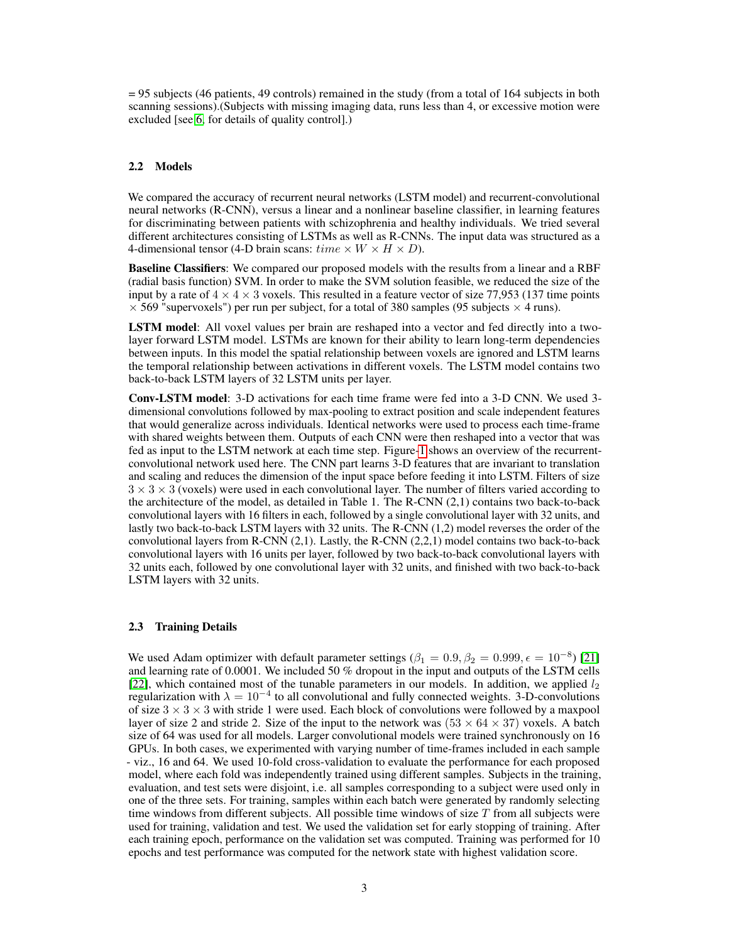= 95 subjects (46 patients, 49 controls) remained in the study (from a total of 164 subjects in both scanning sessions).(Subjects with missing imaging data, runs less than 4, or excessive motion were excluded [see [6,](#page-4-5) for details of quality control].)

#### 2.2 Models

We compared the accuracy of recurrent neural networks (LSTM model) and recurrent-convolutional neural networks (R-CNN), versus a linear and a nonlinear baseline classifier, in learning features for discriminating between patients with schizophrenia and healthy individuals. We tried several different architectures consisting of LSTMs as well as R-CNNs. The input data was structured as a 4-dimensional tensor (4-D brain scans:  $time \times W \times H \times D$ ).

Baseline Classifiers: We compared our proposed models with the results from a linear and a RBF (radial basis function) SVM. In order to make the SVM solution feasible, we reduced the size of the input by a rate of  $4 \times 4 \times 3$  voxels. This resulted in a feature vector of size 77,953 (137 time points  $\times$  569 "supervoxels") per run per subject, for a total of 380 samples (95 subjects  $\times$  4 runs).

LSTM model: All voxel values per brain are reshaped into a vector and fed directly into a twolayer forward LSTM model. LSTMs are known for their ability to learn long-term dependencies between inputs. In this model the spatial relationship between voxels are ignored and LSTM learns the temporal relationship between activations in different voxels. The LSTM model contains two back-to-back LSTM layers of 32 LSTM units per layer.

Conv-LSTM model: 3-D activations for each time frame were fed into a 3-D CNN. We used 3 dimensional convolutions followed by max-pooling to extract position and scale independent features that would generalize across individuals. Identical networks were used to process each time-frame with shared weights between them. Outputs of each CNN were then reshaped into a vector that was fed as input to the LSTM network at each time step. Figure[-1](#page-3-0) shows an overview of the recurrentconvolutional network used here. The CNN part learns 3-D features that are invariant to translation and scaling and reduces the dimension of the input space before feeding it into LSTM. Filters of size  $3 \times 3 \times 3$  (voxels) were used in each convolutional layer. The number of filters varied according to the architecture of the model, as detailed in Table 1. The R-CNN (2,1) contains two back-to-back convolutional layers with 16 filters in each, followed by a single convolutional layer with 32 units, and lastly two back-to-back LSTM layers with 32 units. The R-CNN (1,2) model reverses the order of the convolutional layers from R-CNN (2,1). Lastly, the R-CNN (2,2,1) model contains two back-to-back convolutional layers with 16 units per layer, followed by two back-to-back convolutional layers with 32 units each, followed by one convolutional layer with 32 units, and finished with two back-to-back LSTM layers with 32 units.

#### 2.3 Training Details

We used Adam optimizer with default parameter settings  $(\beta_1 = 0.9, \beta_2 = 0.999, \epsilon = 10^{-8})$  [\[21\]](#page-5-9) and learning rate of 0.0001. We included 50 % dropout in the input and outputs of the LSTM cells [\[22\]](#page-5-10), which contained most of the tunable parameters in our models. In addition, we applied  $l_2$ regularization with  $\lambda = 10^{-4}$  to all convolutional and fully connected weights. 3-D-convolutions of size  $3 \times 3 \times 3$  with stride 1 were used. Each block of convolutions were followed by a maxpool layer of size 2 and stride 2. Size of the input to the network was  $(53 \times 64 \times 37)$  voxels. A batch size of 64 was used for all models. Larger convolutional models were trained synchronously on 16 GPUs. In both cases, we experimented with varying number of time-frames included in each sample - viz., 16 and 64. We used 10-fold cross-validation to evaluate the performance for each proposed model, where each fold was independently trained using different samples. Subjects in the training, evaluation, and test sets were disjoint, i.e. all samples corresponding to a subject were used only in one of the three sets. For training, samples within each batch were generated by randomly selecting time windows from different subjects. All possible time windows of size  $T$  from all subjects were used for training, validation and test. We used the validation set for early stopping of training. After each training epoch, performance on the validation set was computed. Training was performed for 10 epochs and test performance was computed for the network state with highest validation score.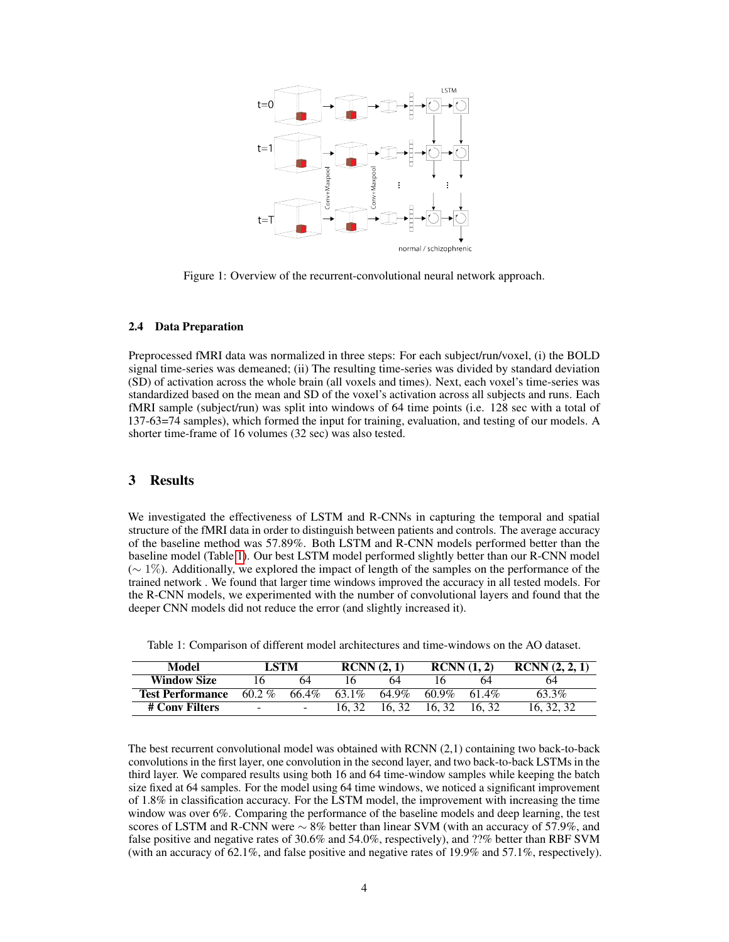

<span id="page-3-0"></span>Figure 1: Overview of the recurrent-convolutional neural network approach.

## 2.4 Data Preparation

Preprocessed fMRI data was normalized in three steps: For each subject/run/voxel, (i) the BOLD signal time-series was demeaned; (ii) The resulting time-series was divided by standard deviation (SD) of activation across the whole brain (all voxels and times). Next, each voxel's time-series was standardized based on the mean and SD of the voxel's activation across all subjects and runs. Each fMRI sample (subject/run) was split into windows of 64 time points (i.e. 128 sec with a total of 137-63=74 samples), which formed the input for training, evaluation, and testing of our models. A shorter time-frame of 16 volumes (32 sec) was also tested.

# 3 Results

We investigated the effectiveness of LSTM and R-CNNs in capturing the temporal and spatial structure of the fMRI data in order to distinguish between patients and controls. The average accuracy of the baseline method was 57.89%. Both LSTM and R-CNN models performed better than the baseline model (Table [1\)](#page-3-1). Our best LSTM model performed slightly better than our R-CNN model (∼ 1%). Additionally, we explored the impact of length of the samples on the performance of the trained network . We found that larger time windows improved the accuracy in all tested models. For the R-CNN models, we experimented with the number of convolutional layers and found that the deeper CNN models did not reduce the error (and slightly increased it).

<span id="page-3-1"></span>

|  |  |  |  | Table 1: Comparison of different model architectures and time-windows on the AO dataset. |  |  |  |  |  |  |
|--|--|--|--|------------------------------------------------------------------------------------------|--|--|--|--|--|--|
|--|--|--|--|------------------------------------------------------------------------------------------|--|--|--|--|--|--|

| Model                   | LSTM                     |       | RCNN(2, 1) |       | RCNN(1, 2) |       | RCNN(2, 2, 1) |  |
|-------------------------|--------------------------|-------|------------|-------|------------|-------|---------------|--|
| <b>Window Size</b>      |                          | 64    |            | 64    |            | 64    | 64            |  |
| <b>Test Performance</b> | $60.2\%$                 | 66.4% | 63.1\%     | 64.9% | $60.9\%$   | 61.4% | 63.3%         |  |
| # Conv Filters          | $\overline{\phantom{a}}$ | -     |            | 16.32 | 16.32      | 16.32 | 16, 32, 32    |  |

The best recurrent convolutional model was obtained with RCNN (2,1) containing two back-to-back convolutions in the first layer, one convolution in the second layer, and two back-to-back LSTMs in the third layer. We compared results using both 16 and 64 time-window samples while keeping the batch size fixed at 64 samples. For the model using 64 time windows, we noticed a significant improvement of 1.8% in classification accuracy. For the LSTM model, the improvement with increasing the time window was over 6%. Comparing the performance of the baseline models and deep learning, the test scores of LSTM and R-CNN were  $\sim 8\%$  better than linear SVM (with an accuracy of 57.9%, and false positive and negative rates of 30.6% and 54.0%, respectively), and ??% better than RBF SVM (with an accuracy of 62.1%, and false positive and negative rates of 19.9% and 57.1%, respectively).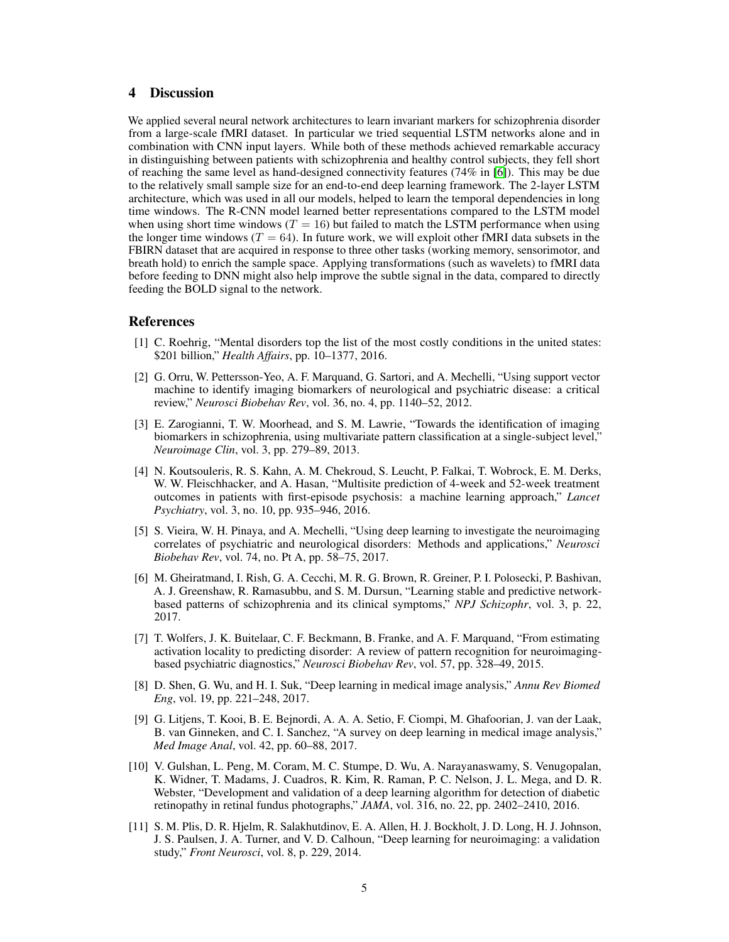# 4 Discussion

We applied several neural network architectures to learn invariant markers for schizophrenia disorder from a large-scale fMRI dataset. In particular we tried sequential LSTM networks alone and in combination with CNN input layers. While both of these methods achieved remarkable accuracy in distinguishing between patients with schizophrenia and healthy control subjects, they fell short of reaching the same level as hand-designed connectivity features (74% in [\[6\]](#page-4-5)). This may be due to the relatively small sample size for an end-to-end deep learning framework. The 2-layer LSTM architecture, which was used in all our models, helped to learn the temporal dependencies in long time windows. The R-CNN model learned better representations compared to the LSTM model when using short time windows ( $T = 16$ ) but failed to match the LSTM performance when using the longer time windows ( $T = 64$ ). In future work, we will exploit other fMRI data subsets in the FBIRN dataset that are acquired in response to three other tasks (working memory, sensorimotor, and breath hold) to enrich the sample space. Applying transformations (such as wavelets) to fMRI data before feeding to DNN might also help improve the subtle signal in the data, compared to directly feeding the BOLD signal to the network.

## References

- <span id="page-4-0"></span>[1] C. Roehrig, "Mental disorders top the list of the most costly conditions in the united states: \$201 billion," *Health Affairs*, pp. 10–1377, 2016.
- <span id="page-4-1"></span>[2] G. Orru, W. Pettersson-Yeo, A. F. Marquand, G. Sartori, and A. Mechelli, "Using support vector machine to identify imaging biomarkers of neurological and psychiatric disease: a critical review," *Neurosci Biobehav Rev*, vol. 36, no. 4, pp. 1140–52, 2012.
- <span id="page-4-2"></span>[3] E. Zarogianni, T. W. Moorhead, and S. M. Lawrie, "Towards the identification of imaging biomarkers in schizophrenia, using multivariate pattern classification at a single-subject level," *Neuroimage Clin*, vol. 3, pp. 279–89, 2013.
- <span id="page-4-3"></span>[4] N. Koutsouleris, R. S. Kahn, A. M. Chekroud, S. Leucht, P. Falkai, T. Wobrock, E. M. Derks, W. W. Fleischhacker, and A. Hasan, "Multisite prediction of 4-week and 52-week treatment outcomes in patients with first-episode psychosis: a machine learning approach," *Lancet Psychiatry*, vol. 3, no. 10, pp. 935–946, 2016.
- <span id="page-4-4"></span>[5] S. Vieira, W. H. Pinaya, and A. Mechelli, "Using deep learning to investigate the neuroimaging correlates of psychiatric and neurological disorders: Methods and applications," *Neurosci Biobehav Rev*, vol. 74, no. Pt A, pp. 58–75, 2017.
- <span id="page-4-5"></span>[6] M. Gheiratmand, I. Rish, G. A. Cecchi, M. R. G. Brown, R. Greiner, P. I. Polosecki, P. Bashivan, A. J. Greenshaw, R. Ramasubbu, and S. M. Dursun, "Learning stable and predictive networkbased patterns of schizophrenia and its clinical symptoms," *NPJ Schizophr*, vol. 3, p. 22, 2017.
- <span id="page-4-6"></span>[7] T. Wolfers, J. K. Buitelaar, C. F. Beckmann, B. Franke, and A. F. Marquand, "From estimating activation locality to predicting disorder: A review of pattern recognition for neuroimagingbased psychiatric diagnostics," *Neurosci Biobehav Rev*, vol. 57, pp. 328–49, 2015.
- <span id="page-4-7"></span>[8] D. Shen, G. Wu, and H. I. Suk, "Deep learning in medical image analysis," *Annu Rev Biomed Eng*, vol. 19, pp. 221–248, 2017.
- <span id="page-4-8"></span>[9] G. Litjens, T. Kooi, B. E. Bejnordi, A. A. A. Setio, F. Ciompi, M. Ghafoorian, J. van der Laak, B. van Ginneken, and C. I. Sanchez, "A survey on deep learning in medical image analysis," *Med Image Anal*, vol. 42, pp. 60–88, 2017.
- <span id="page-4-9"></span>[10] V. Gulshan, L. Peng, M. Coram, M. C. Stumpe, D. Wu, A. Narayanaswamy, S. Venugopalan, K. Widner, T. Madams, J. Cuadros, R. Kim, R. Raman, P. C. Nelson, J. L. Mega, and D. R. Webster, "Development and validation of a deep learning algorithm for detection of diabetic retinopathy in retinal fundus photographs," *JAMA*, vol. 316, no. 22, pp. 2402–2410, 2016.
- <span id="page-4-10"></span>[11] S. M. Plis, D. R. Hjelm, R. Salakhutdinov, E. A. Allen, H. J. Bockholt, J. D. Long, H. J. Johnson, J. S. Paulsen, J. A. Turner, and V. D. Calhoun, "Deep learning for neuroimaging: a validation study," *Front Neurosci*, vol. 8, p. 229, 2014.